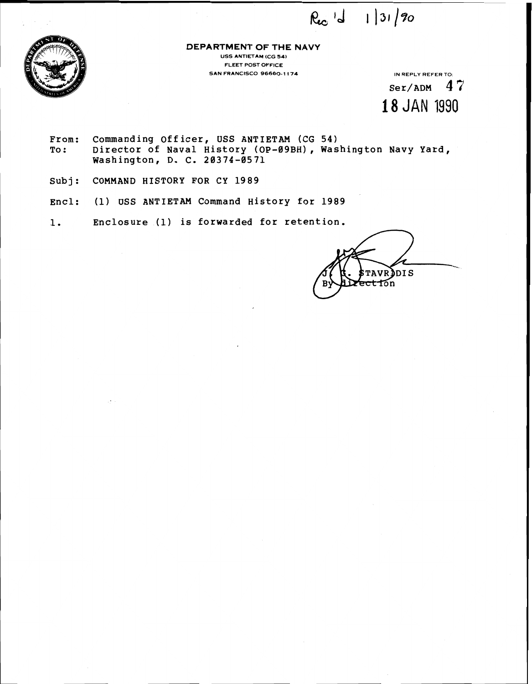$Re^{-1}$   $1|31/20$ 



**DEPARTMENT OF THE NAVY USS ANTIETAM (CG 54) FLEET POST OFFICE SAN FRANCISCO 96660-1174 IN REPLY REFER TO:** 

 $Ser/ADM$  47 **18** JAN 1990

- **From: Commanding Officer, USS ANTIETAM (CG 54) To** : **Director of Naval History (OP-09BH), Washington Navy Yard, Washington, D. C. 28374-8571**
- **Subj** : **COMMAND HISTORY FOR CY 1989**
- **Encl: (1) USS ANTIETAM Command History for 1989**
- **1. Enclosure (1) is forwarded for retention.**

**TAVRDDIS** et fon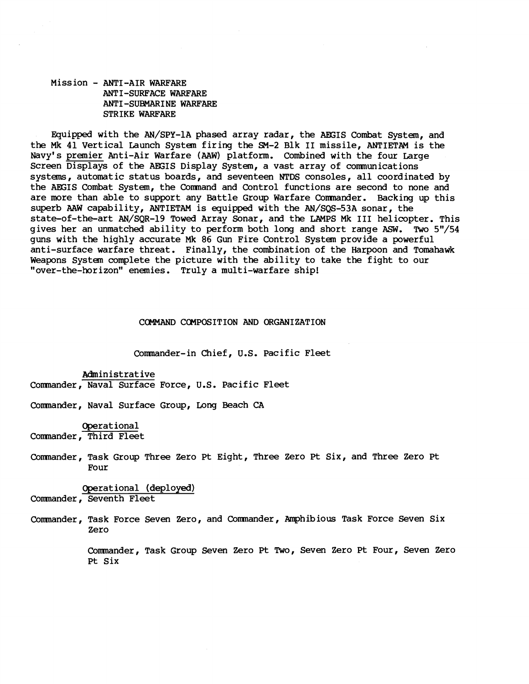## Mission - ANTI-AIR WARFARE ANTI-SURFACE WARFARE ANTI-SUEMARINE WARFARE STRIKE WARFARE

Equipped with the AN/SPY-1A phased array radar, the AEGIS Combat System, and the Mk 41 Vertical Launch System firing the **SM-2** Blk I1 missile, ANTIETAM is the Navy's premier Anti-Air Warfare (AAW) platform. Combined with the four Large Screen Displays of the AEGIS Display System, a vast array of comnunications systems, automatic status boards, and seventeen **NTDS** consoles, all coordinated by the AEGIS Combat System, the Comnand and Control functions are second to none and are more than able to support any Battle Group Warfare Comnander. Backing up this superb AAW capability, ANTIETAM is equipped with the AN/SQS-53A sonar, the state-of-the-art AN/SQR-19 Towed Array Sonar, and the LAMPS Mk I11 helicopter. This gives her an unmatched ability to perform both long and short range  $ASW$ . Two  $5" / 54$ guns with the highly accurate Mk 86 Gun Fire Control System provide a powerful anti-surface warfare threat. Finally, the combination of the Harpoon and Tomahawk Weapons System complete the picture with the ability to take the fight to our "over-the-horizon" enemies. Truly a multi-warfare ship!

#### COMMAND COMPOSITION AND ORGANIZATION

Comnander-in Chief, U.S. Pacific Fleet

Administrative Comnander, Naval Surface Force, U.S. Pacific Fleet

Comnander, Naval Surface Group, Long Beach CA

Operational Comnander, Third Fleet

Commander, Task Group Three Zero Pt Eight, Three Zero Pt Six, and Three Zero Pt Four

Operational (deployed)

Comnander, Seventh Fleet

Comnander, Task Force Seven Zero, and Comnander, Amphibious Task Force Seven Six Zero

> Comnander, Task Group Seven Zero Pt Two, Seven Zero Pt Four, Seven Zero Pt Six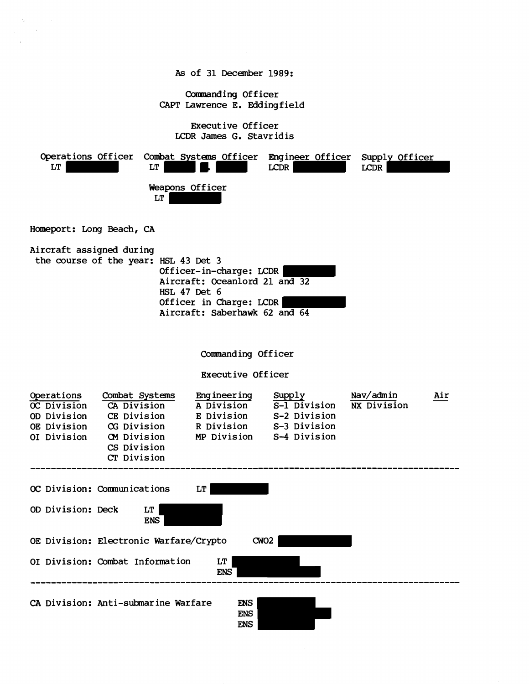**As** of 31 December 1989:

Commanding Officer CAPT Lawrence E. Eddingfield

Executive Officer LCDR James G. Stavr idis

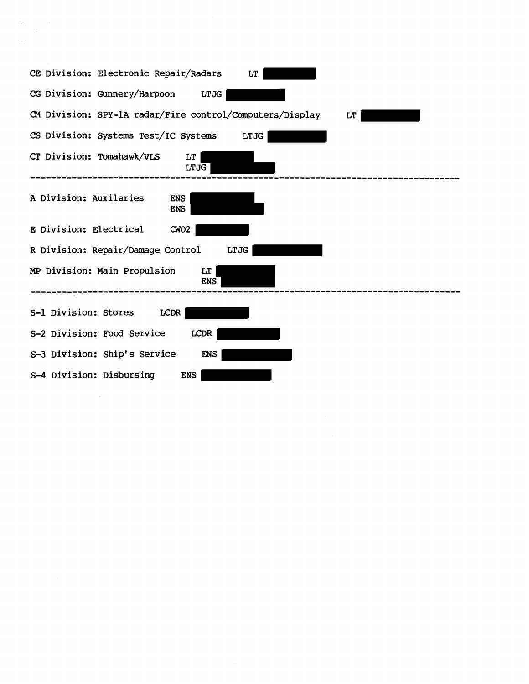| CE Division: Electronic Repair/Radars<br>LT                    |
|----------------------------------------------------------------|
| CG Division: Gunnery/Harpoon LTJG                              |
| CM Division: SPY-1A radar/Fire control/Computers/Display<br>LT |
| CS Division: Systems Test/IC Systems<br><b>LTJG</b>            |
| CT Division: Tomahawk/VLS<br><b>LT</b><br><b>LTJG</b>          |
| A Division: Auxilaries<br><b>ENS</b><br><b>ENS</b>             |
| E Division: Electrical<br>CWO2                                 |
| R Division: Repair/Damage Control<br>LTJG                      |
| MP Division: Main Propulsion<br>LT<br><b>ENS</b>               |
| S-1 Division: Stores<br>LCDR                                   |
| S-2 Division: Food Service<br>LCDR                             |
| S-3 Division: Ship's Service<br><b>ENS</b>                     |
| S-4 Division: Disbursing<br><b>ENS</b>                         |

 $\label{eq:2.1} \frac{1}{\sqrt{2}}\int_{\mathbb{R}^3}\frac{1}{\sqrt{2}}\left(\frac{1}{\sqrt{2}}\right)^2\frac{1}{\sqrt{2}}\left(\frac{1}{\sqrt{2}}\right)^2\frac{1}{\sqrt{2}}\left(\frac{1}{\sqrt{2}}\right)^2\frac{1}{\sqrt{2}}\left(\frac{1}{\sqrt{2}}\right)^2.$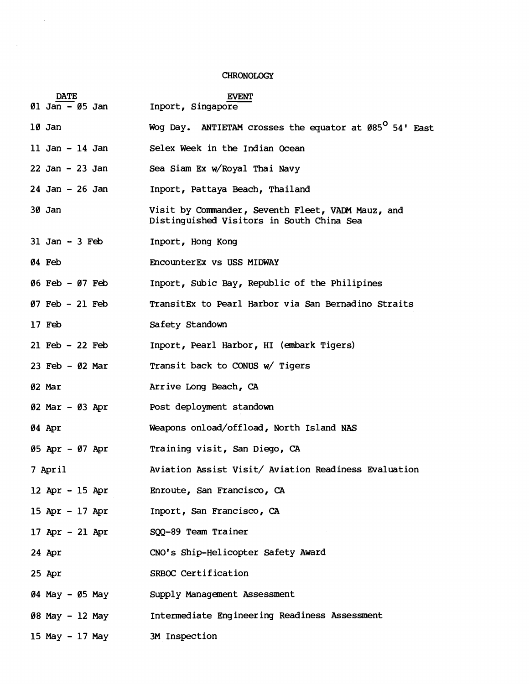# CHRONOLOGY

 $\sim 10^{-1}$ 

 $\mathcal{L}_{\text{max}}$ 

|                                                          | <b>CHRONOLOGY</b>                                                                              |  |  |  |  |
|----------------------------------------------------------|------------------------------------------------------------------------------------------------|--|--|--|--|
| <b>DATE</b><br>$\varnothing$ 1 Jan – $\varnothing$ 5 Jan | <b>EVENT</b><br>Inport, Singapore                                                              |  |  |  |  |
| 10 Jan                                                   | Wog Day. ANTIETAM crosses the equator at 085 <sup>0</sup> 54' East                             |  |  |  |  |
| 11 Jan - 14 Jan                                          | Selex Week in the Indian Ocean                                                                 |  |  |  |  |
| $22$ Jan - $23$ Jan                                      | Sea Siam Ex w/Royal Thai Navy                                                                  |  |  |  |  |
| $24$ Jan - $26$ Jan                                      | Inport, Pattaya Beach, Thailand                                                                |  |  |  |  |
| 30 Jan                                                   | Visit by Commander, Seventh Fleet, VADM Mauz, and<br>Distinguished Visitors in South China Sea |  |  |  |  |
| $31$ Jan - 3 Feb                                         | Inport, Hong Kong                                                                              |  |  |  |  |
| 04 Feb                                                   | EncounterEx vs USS MIDWAY                                                                      |  |  |  |  |
| 06 Feb - 07 Feb                                          | Inport, Subic Bay, Republic of the Philipines                                                  |  |  |  |  |
| $07$ Feb - 21 Feb                                        | TransitEx to Pearl Harbor via San Bernadino Straits                                            |  |  |  |  |
| $17$ Feb                                                 | Safety Standown                                                                                |  |  |  |  |
| $21$ Feb - $22$ Feb                                      | Inport, Pearl Harbor, HI (embark Tigers)                                                       |  |  |  |  |
| 23 Feb $-$ 02 Mar                                        | Transit back to CONUS w/ Tigers                                                                |  |  |  |  |
| 02 Mar                                                   | Arrive Long Beach, CA                                                                          |  |  |  |  |
| $02$ Mar - $03$ Apr                                      | Post deployment standown                                                                       |  |  |  |  |
| 04 Apr                                                   | Weapons onload/offload, North Island NAS                                                       |  |  |  |  |
| 05 Apr - 07 Apr                                          | Training visit, San Diego, CA                                                                  |  |  |  |  |
| 7 April                                                  | Aviation Assist Visit/ Aviation Readiness Evaluation                                           |  |  |  |  |
| 12 Apr - 15 Apr                                          | Enroute, San Francisco, CA                                                                     |  |  |  |  |
| 15 Apr - 17 Apr                                          | Inport, San Francisco, CA                                                                      |  |  |  |  |
| 17 Apr - 21 Apr                                          | SQQ-89 Team Trainer                                                                            |  |  |  |  |
| 24 Apr                                                   | CNO's Ship-Helicopter Safety Award                                                             |  |  |  |  |
| 25 Apr                                                   | SRBOC Certification                                                                            |  |  |  |  |
| 04 May - 05 May                                          | Supply Management Assessment                                                                   |  |  |  |  |
| 08 May - 12 May                                          | Intermediate Engineering Readiness Assessment                                                  |  |  |  |  |
| 15 May - 17 May                                          | 3M Inspection                                                                                  |  |  |  |  |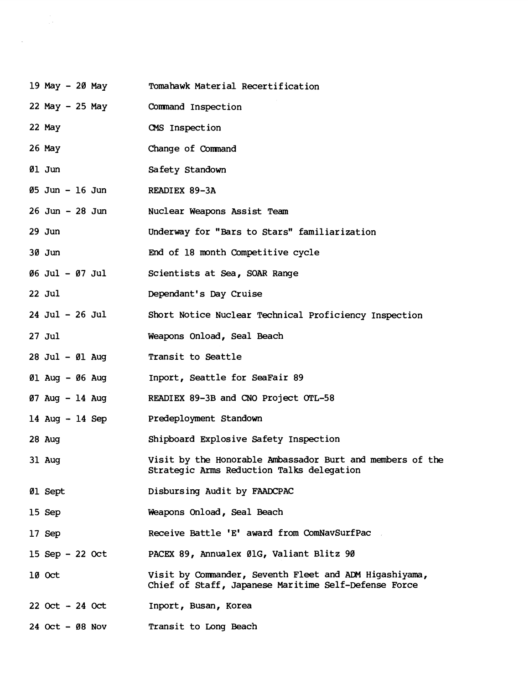| 19 May - 20 May                   | Tomahawk Material Recertification                                                                              |  |  |  |  |
|-----------------------------------|----------------------------------------------------------------------------------------------------------------|--|--|--|--|
| 22 May - 25 May                   | Command Inspection                                                                                             |  |  |  |  |
| 22 May                            | CMS Inspection                                                                                                 |  |  |  |  |
| 26 May                            | Change of Command                                                                                              |  |  |  |  |
| 01 Jun                            | Safety Standown                                                                                                |  |  |  |  |
| 05 Jun - 16 Jun                   | READIEX 89-3A                                                                                                  |  |  |  |  |
| $26$ Jun - $28$ Jun               | Nuclear Weapons Assist Team                                                                                    |  |  |  |  |
| $29$ Jun                          | Underway for "Bars to Stars" familiarization                                                                   |  |  |  |  |
| $30$ Jun                          | End of 18 month Competitive cycle                                                                              |  |  |  |  |
| 06 Jul - 07 Jul                   | Scientists at Sea, SOAR Range                                                                                  |  |  |  |  |
| $22$ Jul                          | Dependant's Day Cruise                                                                                         |  |  |  |  |
| $24$ Jul - $26$ Jul               | Short Notice Nuclear Technical Proficiency Inspection                                                          |  |  |  |  |
| $27$ Jul                          | Weapons Onload, Seal Beach                                                                                     |  |  |  |  |
| 28 Jul - 01 Aug                   | Transit to Seattle                                                                                             |  |  |  |  |
| 01 Aug - 06 Aug                   | Inport, Seattle for SeaFair 89                                                                                 |  |  |  |  |
| $07$ Aug $-14$ Aug                | READIEX 89-3B and CNO Project OTL-58                                                                           |  |  |  |  |
| 14 Aug $-$ 14 Sep                 | Predeployment Standown                                                                                         |  |  |  |  |
| 28 Aug                            | Shipboard Explosive Safety Inspection                                                                          |  |  |  |  |
| 31 Aug                            | Visit by the Honorable Ambassador Burt and members of the<br>Strategic Arms Reduction Talks delegation         |  |  |  |  |
| 01 Sept                           | Disbursing Audit by FAADCPAC                                                                                   |  |  |  |  |
| 15 Sep                            | Weapons Onload, Seal Beach                                                                                     |  |  |  |  |
| 17 Sep                            | Receive Battle 'E' award from ComNavSurfPac                                                                    |  |  |  |  |
| 15 Sep $-22$ Oct                  | PACEX 89, Annualex ØlG, Valiant Blitz 90                                                                       |  |  |  |  |
| 10 Oct                            | Visit by Commander, Seventh Fleet and ADM Higashiyama,<br>Chief of Staff, Japanese Maritime Self-Defense Force |  |  |  |  |
| $22 \text{ Oct} - 24 \text{ Oct}$ | Inport, Busan, Korea                                                                                           |  |  |  |  |
| $24$ Oct - $08$ Nov               | Transit to Long Beach                                                                                          |  |  |  |  |

 $\mathcal{L}(\mathcal{L})$  and  $\mathcal{L}(\mathcal{L})$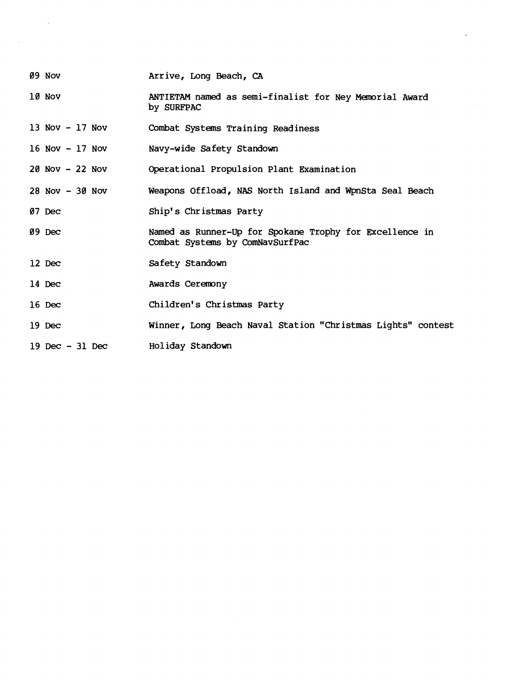- 09 Nov Arrive, Long Beach, **CA**
- 10 Nov ANTIETAM named as semi-finalist for Ney Memorial Award by SURFPAC
- 13 NOV 17 NOV Combat Systems Training Readiness
- 16 NOV 17 NOV Navy-wide Safety Standown
- 20 NOV 22 NOV Operational Propulsion Plant Examination
- 28 NOV 30 NOV Weapons Offload, NAS North Island and WpnSta Seal Beach
- 07 Dec Ship1 s Christmas Party
- $09~$  Dec Named as Runner-Up for Spokane Trophy for Excellence in Combat Systems by ComNavSurfPac
- 12 Dec Safety Standown
- 14 Dec Awards Ceremony
- 16 Dec Children's Christmas Party
- 19 **Dec**  Winner, Long Beach Naval Station "Christmas Lights" contest
- 19 Dec 31 DeC Holiday Standown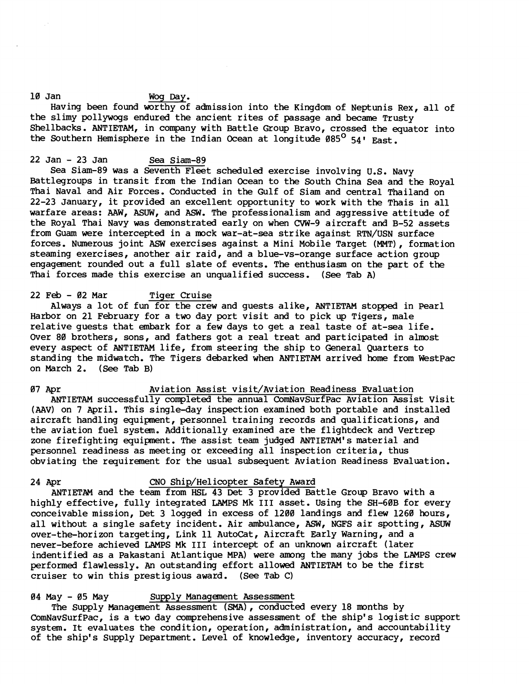## 10 Jan Wog Day.

Having been found worthy of admission into the Kingdom of Neptunis Rex, all of the slimy pollywogs endured the ancient rites of passage and became Trusty Shellbacks. ANTIETAM, in company with Battle Group Bravo, crossed the equator into the Southern Hemisphere in the Indian Ocean at longitude  $085^{\circ}$  54' East.

# 22 Jan - 23 Jan Sea Siam-89

Sea Siam-89 was a Seventh Fleet scheduled exercise involving U.S. Navy Battlegroups in transit from the Indian Ocean to the South china Sea and the Royal Thai Naval and Air Forces. Conducted in the Gulf of Siam and central Thailand on 22-23 January, it provided an excellent opportunity to work with the Thais in all warfare areas: AAW, ASUW, and ASW. The professionalism and aggressive attitude of the Royal Thai Navy was demonstrated early on when CVW-9 aircraft and B-52 assets from Guam were intercepted in a mock war-at-sea strike against RTN/USN surface forces. Numerous joint ASW exercises against a Mini Mobile Target (MMT), formation steaming exercises, another air raid, and a blue-vs-orange surface action group engagement rounded out a full slate of events. The enthusiasm on the part of the Thai forces made this exercise an unqualified success. (See Tab A)

## 22 Feb - 02 Mar Tiger Cruise

Always a lot of fun for the crew and guests alike, ANTIETAM stopped in Pearl Harbor on 21 February for a two day port visit and to pick up Tigers, male relative guests that embark for a few days to get a real taste of at-sea life. Over 80 brothers, sons, and fathers got a real treat and participated in almost every aspect of ANTIETAM life, from steering the ship to General Quarters to standing the midwatch. The Tigers debarked when ANTIETAM arrived home from WestPac on March 2. (See Tab **B)** 

07 Apr Aviation Assist visit/Aviation Readiness Evaluation ANTIETAM successfully completed the annual ComNavSurfPac Aviation Assist Visit (AAV) on 7 April. This single-day inspection examined both portable and installed aircraft handling equipment, personnel training records and qualifications, and the aviation fuel system. Additionally examined are the flightdeck and Vertrep zone firefighting equipment. The assist team judged ANTIETAM's material and personnel readiness as meeting or exceeding all inspection criteria, thus obviating the requirement for the usual subsequent Aviation Readiness Evaluation.

#### 24 Apr CNO Ship/Helicopter Safety Award

ANTIETAM and the team from HSL 43 Det **3** provided Battle Group Bravo with a highly effective, fully integrated LAMPS Mk 111 asset. Using the SH-60B for every conceivable mission, Det 3 logged in excess of 1200 landings and flew 1260 hours, all without a single safety incident. Air ambulance, ASW, NGFS air spotting, ASUW over-the-horizon targeting, Link 11 AutoCat, Aircraft Early Warning, and a never-before achieved LAMPS Mk I11 intercept of an unknown aircraft (later indentified as a Pakastani Atlantique MPA) were among the many jobs the LAMPS crew performed flawlessly. **An** outstanding effort allowed ANTIETAM to be the first cruiser to win this prestigious award. (See Tab C)

# 04 May - 05 May Supply Management Assessment

The Supply Management Assessment (SMA), conducted every 18 months by ComNavSurfPac, is a two day comprehensive assessment of the ship's logistic support system. It evaluates the condition, operation, administration, and accountability of the ship's Supply Department. Level of knowledge, inventory accuracy, record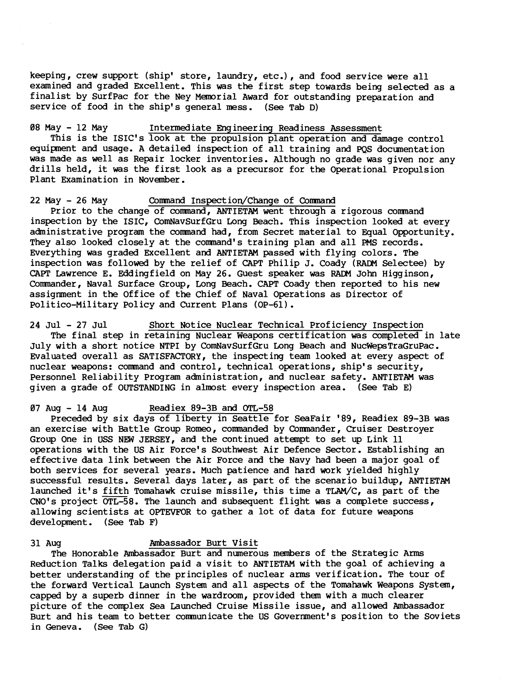keeping, crew support (ship' store, laundry, etc.), and food service were all examined and graded Excellent. This was the first step towards being selected as a finalist by SurfPac for the Ney Manorial Award for outstanding preparation and service of food in the ship's general mess. (See Tab D)

08 May - 12 May Interned iate Eng ineer ing Readiness Assessment This is the ISIC's look at the propulsion plant operation and damage control equipnent and usage. A detailed inspection of all training and PQS documentation was made as well as Repair locker inventories. Although no grade was given nor any drills held, it was the first look as a precursor for the Operational Propulsion Plant Examination in November.

22 May - 26 May Comnand Inspection/Change of Comnand

Prior to the change of comnand, ANTIETAM went through a rigorous comnand inspection by the ISIC, ComNavSurfGru Long Beach. This inspection looked at every administrative program the comnand had, from Secret material to Equal Opportunity. They also looked closely at the command's training plan and all PMS records. Everything was graded Excellent and ANTIETAM passed with flying colors. The inspection was followed by the relief of CAPT Philip J. Coady **(RADM** Selectee) by CAPT Lawrence E. Eddingfield on May 26. Guest speaker was RADM John Higginson, Comander, Naval Surface Group, Long Beach. CAPT Coady then reported to his new assignment in the Office of the Chief of Naval Operations as Director of Politico-Military Policy and Current Plans (OP-61).

24 Jul - 27 Jul Short Notice Nuclear Technical Proficiency Inspection The final step in retaining Nuclear Weapons certification was completed in late July with a short notice NTPI by ComNavSurfGru Long Beach and NucWepsTraGruPac. Evaluated overall as SATISFACTORY, the inspecting team looked at every aspect of nuclear weapons: comnand and control, technical operations, ship's security, Personnel Reliability Program administration, and nuclear safety. ANTIETAM was given a grade of OUTSTANDING in almost every inspection area. (See Tab **E)** 

07 Aug - 14 Aug Readiex 89-3B and **OTL-58** 

Preceded by six days of liberty in Seattle for SeaFair '89, Readiex 89-3B was an exercise with Battle Group Romeo, comnanded by Comnander, Cruiser Destroyer Group One in USS NEW JERSEY, and the continued attanpt to set up Link 11 operations with the US Air Force's Southwest Air Defence Sector. Establishing an effective data link between the Air Force and the Navy had been a major goal of both services for several years. Much patience and hard work yielded highly successful results. Several days later, as part of the scenario buildup, ANTIETAM launched it's fifth Tomahawk cruise missile, this time a TLAM/C, as part of the CNO's project  $\overline{OTL-58}$ . The launch and subsequent flight was a complete success, allowing scientists at OPTEVFOR to gather a lot of data for future weapons development. (See Tab F)

#### 31 Aug Ambassador Burt Visit

The Honorable Ambassador Burt and numerous members of the Strategic Anns Reduction Talks delegation paid a visit to ANTIETAM with the goal of achieving a better understanding of the principles of nuclear anns verification. The tour of the forward Vertical Launch System and all aspects of the Tomahawk Weapons System, capped by a superb dinner in the wardroom, provided them with a much clearer picture of the complex Sea Launched Cruise Missile issue, and allowed Anbassador Burt and his team to better comnunicate the US Government's position to the Soviets in Geneva. (See Tab G)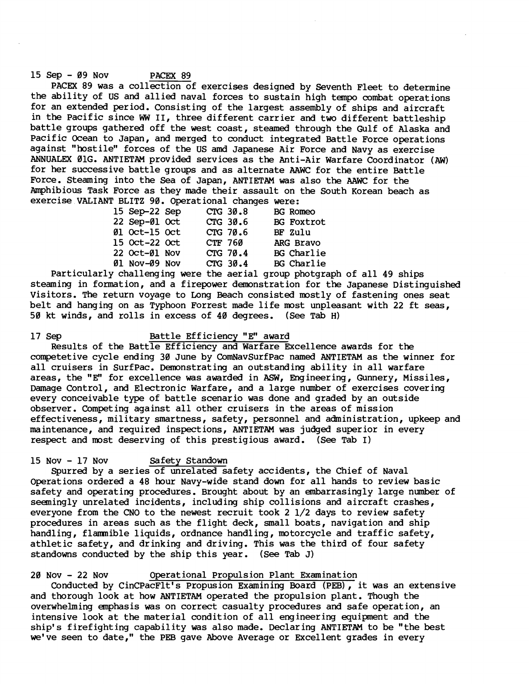## 15 Sep - 09 Nov PACEX 89

PACEX 89 was a collection of exercises designed by Seventh Fleet to determine the ability of US and allied naval forces to sustain high tempo combat operations for an extended period. Consisting of the largest assembly of ships and aircraft in the Pacific since **WW** 11, three different carrier and two different battleship battle groups gathered off the west coast, steamed through the Gulf of Alaska and Pacific Ocean to Japan, and merged to conduct integrated Battle Force operations against "hostile" forces of the US **amd** Japanese Air Force and Navy as exercise ANNUALEX 01G. ANTIETAM provided services as the Anti-Air Warfare Coordinator (AW) for her successive battle groups and as alternate AAWC for the entire Battle Force. Steaming into the Sea of Japan, ANTIETAM was also the **AAWC** for the Amphibious Task Force as they made their assault on the South Korean beach as exercise VALIANT BLITZ 90. Operational changes were:

| 15 Sep-22 Sep        |         | CTG 30.8 | <b>BG</b> Romeo   |
|----------------------|---------|----------|-------------------|
| 22 Sep-Øl Oct        |         | CTG 30.6 | <b>BG</b> Foxtrot |
| <b>01 Oct-15 Oct</b> |         | CTG 70.6 | BF Zulu           |
| 15 Oct-22 Oct        | CTF 760 |          | ARG Bravo         |
| 22 Oct-Øl Nov        |         | CTG 70.4 | <b>BG</b> Charlie |
| 01 Nov-09 Nov        |         | CTG 30.4 | <b>BG</b> Charlie |
|                      |         |          |                   |

Particularly challenging were the aerial group photgraph of all 49 ships steaming in formation, and a firepower demonstration for the Japanese Distinguished Visitors. The return voyage to Long Beach consisted mostly of fastening ones seat belt and hanging on as Typhoon Forrest made life most unpleasant with 22 ft seas, 50 kt winds, and rolls in excess of 40 degrees. (See Tab **H)** 

## 17 Sep Battle Efficiency "E" award

Results of the Battle Efficiency and Warfare Excellence awards for the competetive cycle ending 30 June by ComNavSurfPac named ANTIETAM as the winner for all cruisers in SurfPac. Demonstrating an outstanding ability in all warfare areas, the "E" for excellence was awarded in ASW, Engineering, Gunnery, Missiles, Damage Control, and Electronic Warfare, and a large number of exercises covering every conceivable type of battle scenario was done and graded by an outside observer. Competing against all other cruisers in the areas of mission effectiveness, military smartness, safety, personnel and administration, upkeep and maintenance, and required inspections, ANTIETAM was judged superior in every respect and most deserving of this prestigious award. (See Tab I)

### 15 Nov - 17 Nov Safety Standown

Spurred by a series of unrelated safety accidents, the Chief of Naval operations ordered a 48 hour Navy-wide stand down for all hands to review basic safety and operating procedures. Brought about by an embarrasingly large number of seemingly unrelated incidents, including ship collisions and aircraft crashes, everyone from the CNO to the newest recruit took 2 1/2 days to review safety procedures in areas such as the flight deck, small boats, navigation and ship handling, flammible liquids, ordnance handling, motorcycle and traffic safety, athletic safety, and drinking and driving. This was the third of four safety standowns conducted by the ship this year. (See Tab J)

# 20 Nov - 22 Nov Operational Propulsion Plant Examination

Conducted by CinCPacFlt's Propusion Examining Board (PEB), it was an extensive and thorough look at how ANTIETAM operated the propulsion plant. Though the overwhelming emphasis was on correct casualty procedures and safe operation, an intensive look at the material condition of all engineering equipment and the ship's firefighting capability was also made. Declaring ANTIETAM to be "the best we've seen to date," the PEB gave Above Average or Excellent grades in every